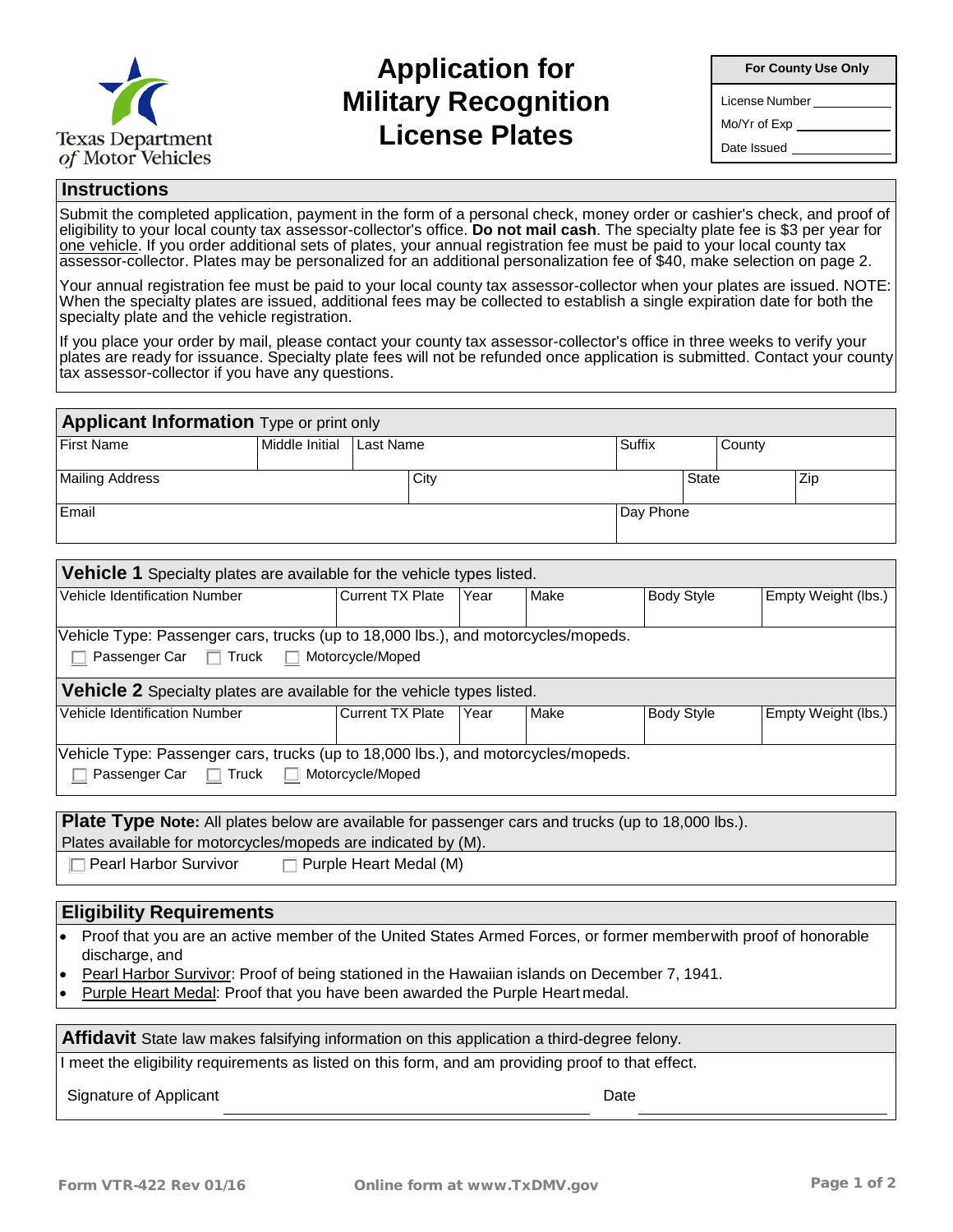

## **Application for Military Recognition License Plates**

**For County Use Only**

License Number

Mo/Yr of Exp

Date Issued

## **Instructions**

Submit the completed application, payment in the form of a personal check, money order or cashier's check, and proof of eligibility to your local county tax assessor-collector's office. **Do not mail cash**. The specialty plate fee is \$3 per year for <u>one vehicle</u>. If you order additional sets of plates, your annual registration fee must be paid to your local county tax assessor-collector. Plates may be personalized for an additional personalization fee of \$40, make selection on page 2.

Your annual registration fee must be paid to your local county tax assessor-collector when your plates are issued. NOTE: When the specialty plates are issued, additional fees may be collected to establish a single expiration date for both the specialty plate and the vehicle registration.

If you place your order by mail, please contact your county tax assessor-collector's office in three weeks to verify your plates are ready for issuance. Specialty plate fees will not be refunded once application is submitted. Contact your county tax assessor-collector if you have any questions.

| <b>Applicant Information</b> Type or print only |                          |  |      |           |              |  |     |  |  |  |  |
|-------------------------------------------------|--------------------------|--|------|-----------|--------------|--|-----|--|--|--|--|
| <b>First Name</b>                               | Middle Initial Last Name |  |      | Suffix    | County       |  |     |  |  |  |  |
| <b>Mailing Address</b>                          |                          |  | City |           | <b>State</b> |  | Zip |  |  |  |  |
| Email                                           |                          |  |      | Day Phone |              |  |     |  |  |  |  |

| <b>Vehicle 1</b> Specialty plates are available for the vehicle types listed.     |                         |      |      |                   |                     |  |  |  |  |  |  |
|-----------------------------------------------------------------------------------|-------------------------|------|------|-------------------|---------------------|--|--|--|--|--|--|
| Vehicle Identification Number                                                     | <b>Current TX Plate</b> | Year | Make | <b>Body Style</b> | Empty Weight (lbs.) |  |  |  |  |  |  |
|                                                                                   |                         |      |      |                   |                     |  |  |  |  |  |  |
| Vehicle Type: Passenger cars, trucks (up to 18,000 lbs.), and motorcycles/mopeds. |                         |      |      |                   |                     |  |  |  |  |  |  |
| Passenger Car □ Truck □ Motorcycle/Moped                                          |                         |      |      |                   |                     |  |  |  |  |  |  |
| <b>Vehicle 2</b> Specialty plates are available for the vehicle types listed.     |                         |      |      |                   |                     |  |  |  |  |  |  |
| Vehicle Identification Number                                                     | Current TX Plate        | Year | Make | <b>Body Style</b> | Empty Weight (lbs.) |  |  |  |  |  |  |
|                                                                                   |                         |      |      |                   |                     |  |  |  |  |  |  |
| Vehicle Type: Passenger cars, trucks (up to 18,000 lbs.), and motorcycles/mopeds. |                         |      |      |                   |                     |  |  |  |  |  |  |
| Passenger Car □ Truck □ Motorcycle/Moped                                          |                         |      |      |                   |                     |  |  |  |  |  |  |

**Plate Type Note:** All plates below are available for passenger cars and trucks (up to 18,000 lbs.).

Plates available for motorcycles/mopeds are indicated by (M).

 $\Box$  Pearl Harbor Survivor  $\Box$  Purple Heart Medal (M)

## **Eligibility Requirements**

• Proof that you are an active member of the United States Armed Forces, or former memberwith proof of honorable discharge, and

• Pearl Harbor Survivor: Proof of being stationed in the Hawaiian islands on December 7, 1941.

• Purple Heart Medal: Proof that you have been awarded the Purple Heart medal.

**Affidavit** State law makes falsifying information on this application a third-degree felony.

I meet the eligibility requirements as listed on this form, and am providing proof to that effect.

Signature of Applicant Date